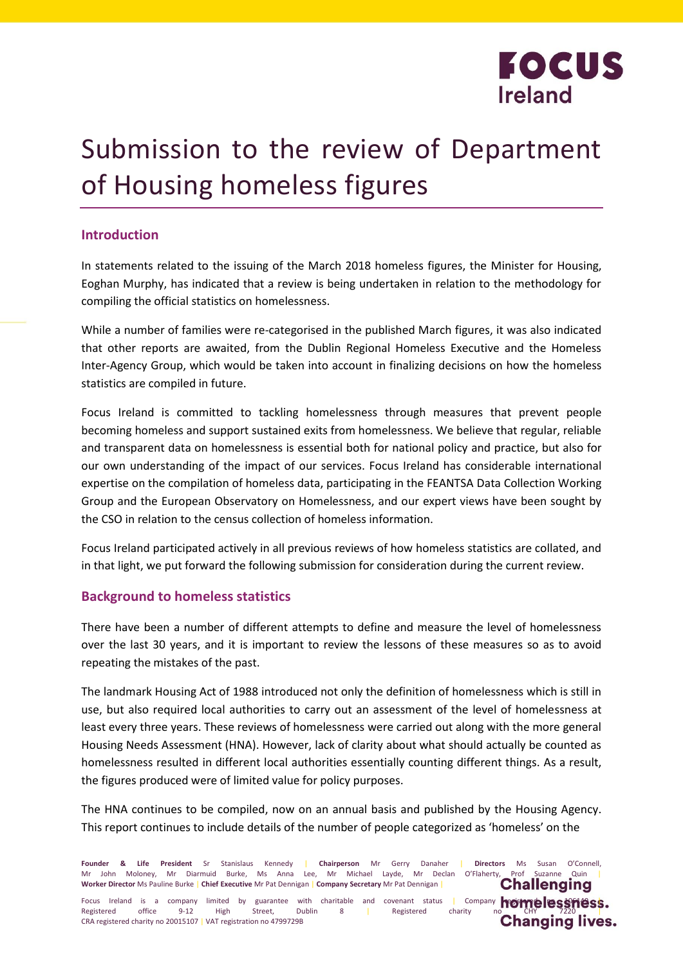

# Submission to the review of Department of Housing homeless figures

## **Introduction**

In statements related to the issuing of the March 2018 homeless figures, the Minister for Housing, Eoghan Murphy, has indicated that a review is being undertaken in relation to the methodology for compiling the official statistics on homelessness.

While a number of families were re-categorised in the published March figures, it was also indicated that other reports are awaited, from the Dublin Regional Homeless Executive and the Homeless Inter-Agency Group, which would be taken into account in finalizing decisions on how the homeless statistics are compiled in future.

Focus Ireland is committed to tackling homelessness through measures that prevent people becoming homeless and support sustained exits from homelessness. We believe that regular, reliable and transparent data on homelessness is essential both for national policy and practice, but also for our own understanding of the impact of our services. Focus Ireland has considerable international expertise on the compilation of homeless data, participating in the FEANTSA Data Collection Working Group and the European Observatory on Homelessness, and our expert views have been sought by the CSO in relation to the census collection of homeless information.

Focus Ireland participated actively in all previous reviews of how homeless statistics are collated, and in that light, we put forward the following submission for consideration during the current review.

## **Background to homeless statistics**

There have been a number of different attempts to define and measure the level of homelessness over the last 30 years, and it is important to review the lessons of these measures so as to avoid repeating the mistakes of the past.

The landmark Housing Act of 1988 introduced not only the definition of homelessness which is still in use, but also required local authorities to carry out an assessment of the level of homelessness at least every three years. These reviews of homelessness were carried out along with the more general Housing Needs Assessment (HNA). However, lack of clarity about what should actually be counted as homelessness resulted in different local authorities essentially counting different things. As a result, the figures produced were of limited value for policy purposes.

The HNA continues to be compiled, now on an annual basis and published by the Housing Agency. This report continues to include details of the number of people categorized as 'homeless' on the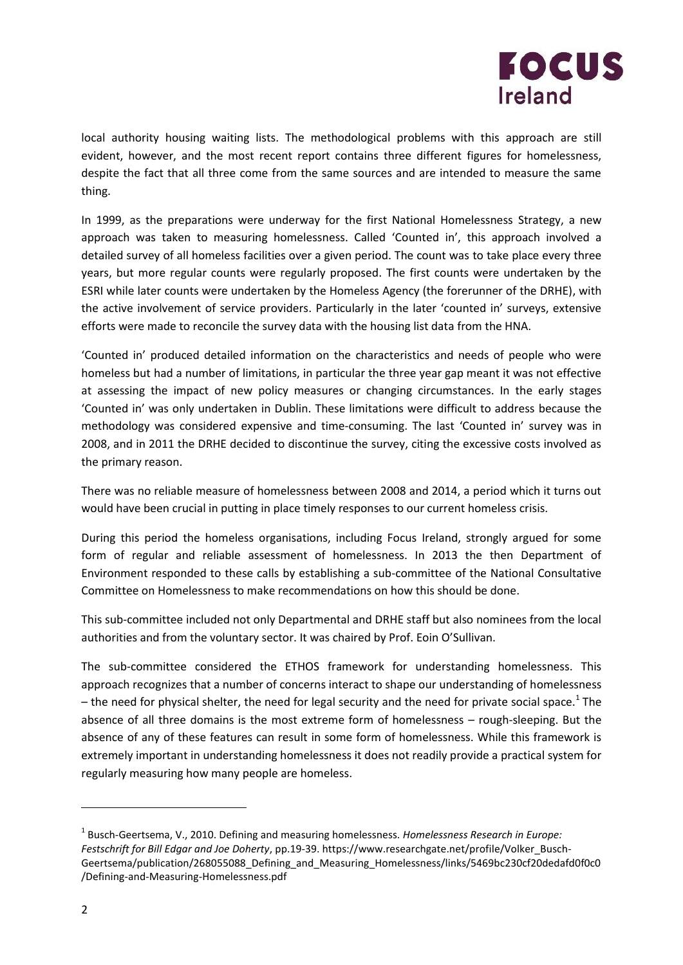

local authority housing waiting lists. The methodological problems with this approach are still evident, however, and the most recent report contains three different figures for homelessness, despite the fact that all three come from the same sources and are intended to measure the same thing.

In 1999, as the preparations were underway for the first National Homelessness Strategy, a new approach was taken to measuring homelessness. Called 'Counted in', this approach involved a detailed survey of all homeless facilities over a given period. The count was to take place every three years, but more regular counts were regularly proposed. The first counts were undertaken by the ESRI while later counts were undertaken by the Homeless Agency (the forerunner of the DRHE), with the active involvement of service providers. Particularly in the later 'counted in' surveys, extensive efforts were made to reconcile the survey data with the housing list data from the HNA.

'Counted in' produced detailed information on the characteristics and needs of people who were homeless but had a number of limitations, in particular the three year gap meant it was not effective at assessing the impact of new policy measures or changing circumstances. In the early stages 'Counted in' was only undertaken in Dublin. These limitations were difficult to address because the methodology was considered expensive and time-consuming. The last 'Counted in' survey was in 2008, and in 2011 the DRHE decided to discontinue the survey, citing the excessive costs involved as the primary reason.

There was no reliable measure of homelessness between 2008 and 2014, a period which it turns out would have been crucial in putting in place timely responses to our current homeless crisis.

During this period the homeless organisations, including Focus Ireland, strongly argued for some form of regular and reliable assessment of homelessness. In 2013 the then Department of Environment responded to these calls by establishing a sub-committee of the National Consultative Committee on Homelessness to make recommendations on how this should be done.

This sub-committee included not only Departmental and DRHE staff but also nominees from the local authorities and from the voluntary sector. It was chaired by Prof. Eoin O'Sullivan.

The sub-committee considered the ETHOS framework for understanding homelessness. This approach recognizes that a number of concerns interact to shape our understanding of homelessness – the need for physical shelter, the need for legal security and the need for private social space.<sup>1</sup> The absence of all three domains is the most extreme form of homelessness – rough-sleeping. But the absence of any of these features can result in some form of homelessness. While this framework is extremely important in understanding homelessness it does not readily provide a practical system for regularly measuring how many people are homeless.

 $\overline{a}$ 

<sup>1</sup> Busch-Geertsema, V., 2010. Defining and measuring homelessness. *Homelessness Research in Europe: Festschrift for Bill Edgar and Joe Doherty*, pp.19-39. https://www.researchgate.net/profile/Volker\_Busch-Geertsema/publication/268055088\_Defining\_and\_Measuring\_Homelessness/links/5469bc230cf20dedafd0f0c0 /Defining-and-Measuring-Homelessness.pdf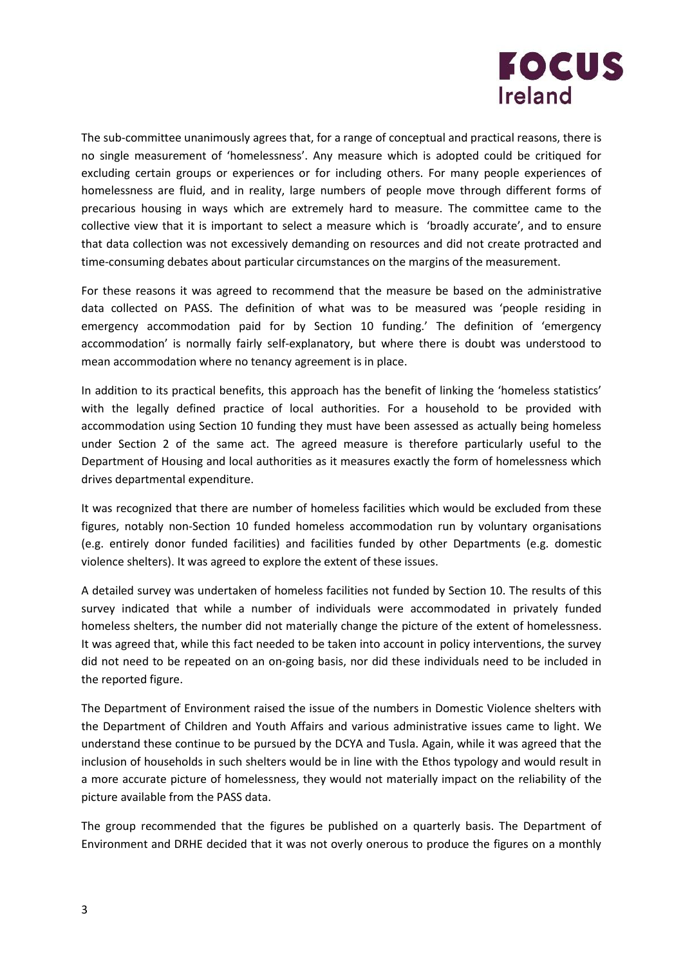

The sub-committee unanimously agrees that, for a range of conceptual and practical reasons, there is no single measurement of 'homelessness'. Any measure which is adopted could be critiqued for excluding certain groups or experiences or for including others. For many people experiences of homelessness are fluid, and in reality, large numbers of people move through different forms of precarious housing in ways which are extremely hard to measure. The committee came to the collective view that it is important to select a measure which is 'broadly accurate', and to ensure that data collection was not excessively demanding on resources and did not create protracted and time-consuming debates about particular circumstances on the margins of the measurement.

For these reasons it was agreed to recommend that the measure be based on the administrative data collected on PASS. The definition of what was to be measured was 'people residing in emergency accommodation paid for by Section 10 funding.' The definition of 'emergency accommodation' is normally fairly self-explanatory, but where there is doubt was understood to mean accommodation where no tenancy agreement is in place.

In addition to its practical benefits, this approach has the benefit of linking the 'homeless statistics' with the legally defined practice of local authorities. For a household to be provided with accommodation using Section 10 funding they must have been assessed as actually being homeless under Section 2 of the same act. The agreed measure is therefore particularly useful to the Department of Housing and local authorities as it measures exactly the form of homelessness which drives departmental expenditure.

It was recognized that there are number of homeless facilities which would be excluded from these figures, notably non-Section 10 funded homeless accommodation run by voluntary organisations (e.g. entirely donor funded facilities) and facilities funded by other Departments (e.g. domestic violence shelters). It was agreed to explore the extent of these issues.

A detailed survey was undertaken of homeless facilities not funded by Section 10. The results of this survey indicated that while a number of individuals were accommodated in privately funded homeless shelters, the number did not materially change the picture of the extent of homelessness. It was agreed that, while this fact needed to be taken into account in policy interventions, the survey did not need to be repeated on an on-going basis, nor did these individuals need to be included in the reported figure.

The Department of Environment raised the issue of the numbers in Domestic Violence shelters with the Department of Children and Youth Affairs and various administrative issues came to light. We understand these continue to be pursued by the DCYA and Tusla. Again, while it was agreed that the inclusion of households in such shelters would be in line with the Ethos typology and would result in a more accurate picture of homelessness, they would not materially impact on the reliability of the picture available from the PASS data.

The group recommended that the figures be published on a quarterly basis. The Department of Environment and DRHE decided that it was not overly onerous to produce the figures on a monthly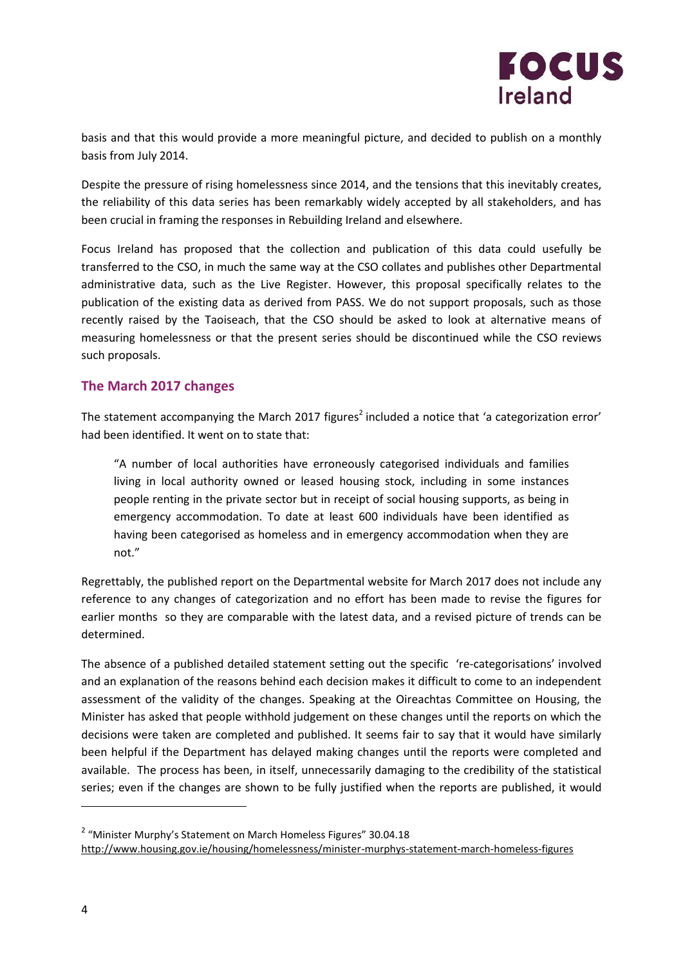

basis and that this would provide a more meaningful picture, and decided to publish on a monthly basis from July 2014.

Despite the pressure of rising homelessness since 2014, and the tensions that this inevitably creates, the reliability of this data series has been remarkably widely accepted by all stakeholders, and has been crucial in framing the responses in Rebuilding Ireland and elsewhere.

Focus Ireland has proposed that the collection and publication of this data could usefully be transferred to the CSO, in much the same way at the CSO collates and publishes other Departmental administrative data, such as the Live Register. However, this proposal specifically relates to the publication of the existing data as derived from PASS. We do not support proposals, such as those recently raised by the Taoiseach, that the CSO should be asked to look at alternative means of measuring homelessness or that the present series should be discontinued while the CSO reviews such proposals.

## **The March 2017 changes**

The statement accompanying the March 2017 figures<sup>2</sup> included a notice that 'a categorization error' had been identified. It went on to state that:

"A number of local authorities have erroneously categorised individuals and families living in local authority owned or leased housing stock, including in some instances people renting in the private sector but in receipt of social housing supports, as being in emergency accommodation. To date at least 600 individuals have been identified as having been categorised as homeless and in emergency accommodation when they are not."

Regrettably, the published report on the Departmental website for March 2017 does not include any reference to any changes of categorization and no effort has been made to revise the figures for earlier months so they are comparable with the latest data, and a revised picture of trends can be determined.

The absence of a published detailed statement setting out the specific 're-categorisations' involved and an explanation of the reasons behind each decision makes it difficult to come to an independent assessment of the validity of the changes. Speaking at the Oireachtas Committee on Housing, the Minister has asked that people withhold judgement on these changes until the reports on which the decisions were taken are completed and published. It seems fair to say that it would have similarly been helpful if the Department has delayed making changes until the reports were completed and available. The process has been, in itself, unnecessarily damaging to the credibility of the statistical series; even if the changes are shown to be fully justified when the reports are published, it would

 $\overline{\phantom{a}}$ 

<sup>&</sup>lt;sup>2</sup> "Minister Murphy's Statement on March Homeless Figures" 30.04.18

<http://www.housing.gov.ie/housing/homelessness/minister-murphys-statement-march-homeless-figures>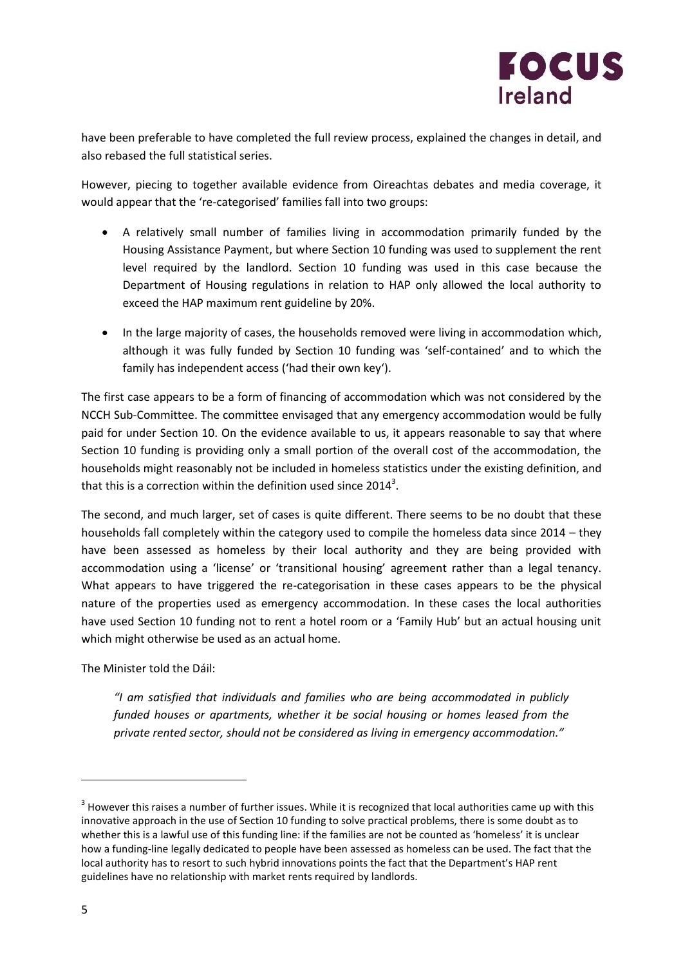

have been preferable to have completed the full review process, explained the changes in detail, and also rebased the full statistical series.

However, piecing to together available evidence from Oireachtas debates and media coverage, it would appear that the 're-categorised' families fall into two groups:

- A relatively small number of families living in accommodation primarily funded by the Housing Assistance Payment, but where Section 10 funding was used to supplement the rent level required by the landlord. Section 10 funding was used in this case because the Department of Housing regulations in relation to HAP only allowed the local authority to exceed the HAP maximum rent guideline by 20%.
- In the large majority of cases, the households removed were living in accommodation which, although it was fully funded by Section 10 funding was 'self-contained' and to which the family has independent access ('had their own key').

The first case appears to be a form of financing of accommodation which was not considered by the NCCH Sub-Committee. The committee envisaged that any emergency accommodation would be fully paid for under Section 10. On the evidence available to us, it appears reasonable to say that where Section 10 funding is providing only a small portion of the overall cost of the accommodation, the households might reasonably not be included in homeless statistics under the existing definition, and that this is a correction within the definition used since 2014 $^3$ .

The second, and much larger, set of cases is quite different. There seems to be no doubt that these households fall completely within the category used to compile the homeless data since 2014 – they have been assessed as homeless by their local authority and they are being provided with accommodation using a 'license' or 'transitional housing' agreement rather than a legal tenancy. What appears to have triggered the re-categorisation in these cases appears to be the physical nature of the properties used as emergency accommodation. In these cases the local authorities have used Section 10 funding not to rent a hotel room or a 'Family Hub' but an actual housing unit which might otherwise be used as an actual home.

The Minister told the Dáil:

*"I am satisfied that individuals and families who are being accommodated in publicly funded houses or apartments, whether it be social housing or homes leased from the private rented sector, should not be considered as living in emergency accommodation."*

 $\overline{a}$ 

 $3$  However this raises a number of further issues. While it is recognized that local authorities came up with this innovative approach in the use of Section 10 funding to solve practical problems, there is some doubt as to whether this is a lawful use of this funding line: if the families are not be counted as 'homeless' it is unclear how a funding-line legally dedicated to people have been assessed as homeless can be used. The fact that the local authority has to resort to such hybrid innovations points the fact that the Department's HAP rent guidelines have no relationship with market rents required by landlords.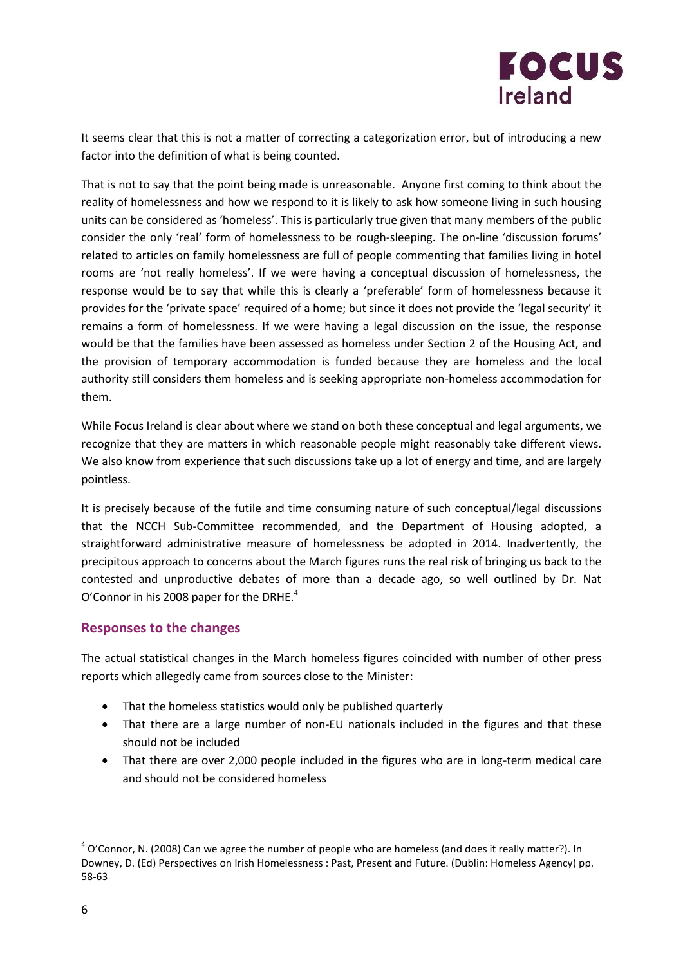

It seems clear that this is not a matter of correcting a categorization error, but of introducing a new factor into the definition of what is being counted.

That is not to say that the point being made is unreasonable. Anyone first coming to think about the reality of homelessness and how we respond to it is likely to ask how someone living in such housing units can be considered as 'homeless'. This is particularly true given that many members of the public consider the only 'real' form of homelessness to be rough-sleeping. The on-line 'discussion forums' related to articles on family homelessness are full of people commenting that families living in hotel rooms are 'not really homeless'. If we were having a conceptual discussion of homelessness, the response would be to say that while this is clearly a 'preferable' form of homelessness because it provides for the 'private space' required of a home; but since it does not provide the 'legal security' it remains a form of homelessness. If we were having a legal discussion on the issue, the response would be that the families have been assessed as homeless under Section 2 of the Housing Act, and the provision of temporary accommodation is funded because they are homeless and the local authority still considers them homeless and is seeking appropriate non-homeless accommodation for them.

While Focus Ireland is clear about where we stand on both these conceptual and legal arguments, we recognize that they are matters in which reasonable people might reasonably take different views. We also know from experience that such discussions take up a lot of energy and time, and are largely pointless.

It is precisely because of the futile and time consuming nature of such conceptual/legal discussions that the NCCH Sub-Committee recommended, and the Department of Housing adopted, a straightforward administrative measure of homelessness be adopted in 2014. Inadvertently, the precipitous approach to concerns about the March figures runs the real risk of bringing us back to the contested and unproductive debates of more than a decade ago, so well outlined by Dr. Nat O'Connor in his 2008 paper for the DRHE.<sup>4</sup>

## **Responses to the changes**

The actual statistical changes in the March homeless figures coincided with number of other press reports which allegedly came from sources close to the Minister:

- That the homeless statistics would only be published quarterly
- That there are a large number of non-EU nationals included in the figures and that these should not be included
- That there are over 2,000 people included in the figures who are in long-term medical care and should not be considered homeless

 $\overline{\phantom{a}}$ 

 $^4$  O'Connor, N. (2008) Can we agree the number of people who are homeless (and does it really matter?). In Downey, D. (Ed) Perspectives on Irish Homelessness : Past, Present and Future. (Dublin: Homeless Agency) pp. 58-63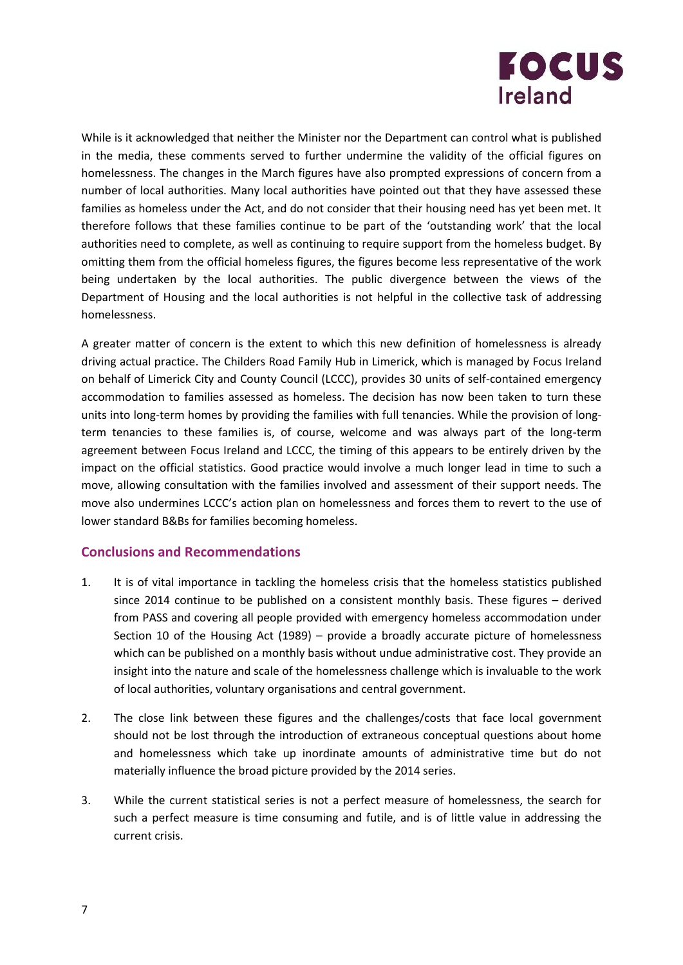

While is it acknowledged that neither the Minister nor the Department can control what is published in the media, these comments served to further undermine the validity of the official figures on homelessness. The changes in the March figures have also prompted expressions of concern from a number of local authorities. Many local authorities have pointed out that they have assessed these families as homeless under the Act, and do not consider that their housing need has yet been met. It therefore follows that these families continue to be part of the 'outstanding work' that the local authorities need to complete, as well as continuing to require support from the homeless budget. By omitting them from the official homeless figures, the figures become less representative of the work being undertaken by the local authorities. The public divergence between the views of the Department of Housing and the local authorities is not helpful in the collective task of addressing homelessness.

A greater matter of concern is the extent to which this new definition of homelessness is already driving actual practice. The Childers Road Family Hub in Limerick, which is managed by Focus Ireland on behalf of Limerick City and County Council (LCCC), provides 30 units of self-contained emergency accommodation to families assessed as homeless. The decision has now been taken to turn these units into long-term homes by providing the families with full tenancies. While the provision of longterm tenancies to these families is, of course, welcome and was always part of the long-term agreement between Focus Ireland and LCCC, the timing of this appears to be entirely driven by the impact on the official statistics. Good practice would involve a much longer lead in time to such a move, allowing consultation with the families involved and assessment of their support needs. The move also undermines LCCC's action plan on homelessness and forces them to revert to the use of lower standard B&Bs for families becoming homeless.

## **Conclusions and Recommendations**

- 1. It is of vital importance in tackling the homeless crisis that the homeless statistics published since 2014 continue to be published on a consistent monthly basis. These figures – derived from PASS and covering all people provided with emergency homeless accommodation under Section 10 of the Housing Act (1989) – provide a broadly accurate picture of homelessness which can be published on a monthly basis without undue administrative cost. They provide an insight into the nature and scale of the homelessness challenge which is invaluable to the work of local authorities, voluntary organisations and central government.
- 2. The close link between these figures and the challenges/costs that face local government should not be lost through the introduction of extraneous conceptual questions about home and homelessness which take up inordinate amounts of administrative time but do not materially influence the broad picture provided by the 2014 series.
- 3. While the current statistical series is not a perfect measure of homelessness, the search for such a perfect measure is time consuming and futile, and is of little value in addressing the current crisis.